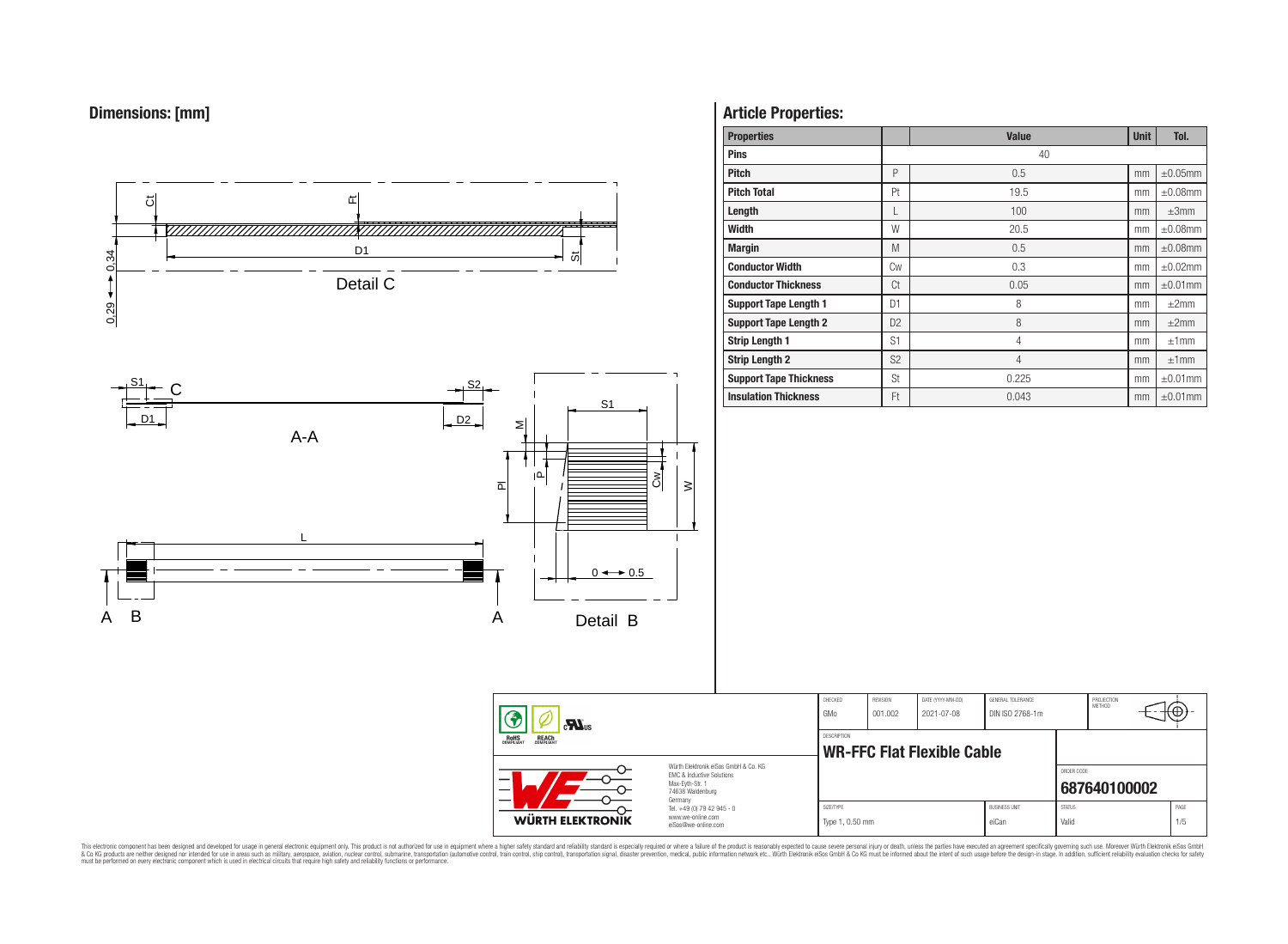



# **Article Properties:**

| <b>Properties</b>             |                | <b>Value</b>   | <b>Unit</b> | Tol.          |
|-------------------------------|----------------|----------------|-------------|---------------|
| <b>Pins</b>                   |                | 40             |             |               |
| <b>Pitch</b>                  | P              | 0.5            | mm          | $\pm 0.05$ mm |
| <b>Pitch Total</b>            | Pt             | 19.5           | mm          | $\pm 0.08$ mm |
| Length                        | L              | 100            | mm          | $\pm 3$ mm    |
| Width                         | W              | 20.5           | mm          | $\pm 0.08$ mm |
| <b>Margin</b>                 | M              | 0.5            | mm          | $\pm 0.08$ mm |
| <b>Conductor Width</b>        | Cw             | 0.3            | mm          | $\pm 0.02$ mm |
| <b>Conductor Thickness</b>    | Ct             | 0.05           | mm          | $\pm 0.01$ mm |
| <b>Support Tape Length 1</b>  | D <sub>1</sub> | 8              | mm          | $\pm 2$ mm    |
| <b>Support Tape Length 2</b>  | D <sub>2</sub> | 8              | mm          | $\pm 2$ mm    |
| <b>Strip Length 1</b>         | S1             | $\overline{4}$ | mm          | ±1mm          |
| <b>Strip Length 2</b>         | S <sub>2</sub> | $\overline{4}$ | mm          | ±1mm          |
| <b>Support Tape Thickness</b> | St             | 0.225          | mm          | $\pm 0.01$ mm |
| <b>Insulation Thickness</b>   | Ft             | 0.043          | mm          | $\pm 0.01$ mm |

CHECKED REVISION DATE (YYYY-MM-DD) GENERAL TOLERANCE

**WR-FFC Flat Flexible Cable** 

DESCRIPTION

GMo 001.002 2021-07-08 DIN ISO 2768-1m

PROJECTION<br>METHOD

7@

ORDER CODE

|                                                                                                                                                                                                                                                                                                                                                                                                                                                                                                                                                                                                                            |                         | Max-Evth-Str.<br>74638 Waldenburg                                      |                              | 687640100002                  |               |      |  |  |  |  |
|----------------------------------------------------------------------------------------------------------------------------------------------------------------------------------------------------------------------------------------------------------------------------------------------------------------------------------------------------------------------------------------------------------------------------------------------------------------------------------------------------------------------------------------------------------------------------------------------------------------------------|-------------------------|------------------------------------------------------------------------|------------------------------|-------------------------------|---------------|------|--|--|--|--|
|                                                                                                                                                                                                                                                                                                                                                                                                                                                                                                                                                                                                                            | <b>WÜRTH ELEKTRONIK</b> | Tel. +49 (0) 79 42 945 - 0<br>www.we-online.com<br>eiSos@we-online.com | SIZE/TYPE<br>Type 1, 0.50 mm | <b>BUSINESS UNIT</b><br>eiCar | <b>STATUS</b> | PAGE |  |  |  |  |
| This electronic component has been designed and developed for usage in general electronic equipment only. This product is not authorized for use in equipment where a higher safety standard and reliability standard or where<br>& Co KG products are neither designed nor intended for use in areas such as military, aerospace, aviation, nuclear control, submarine, transportation igutomotive control, transportation igutomotive control, transportation<br>must be performed on every electronic component which is used in electrical circuits that require high safety and reliability functions or performance. |                         |                                                                        |                              |                               |               |      |  |  |  |  |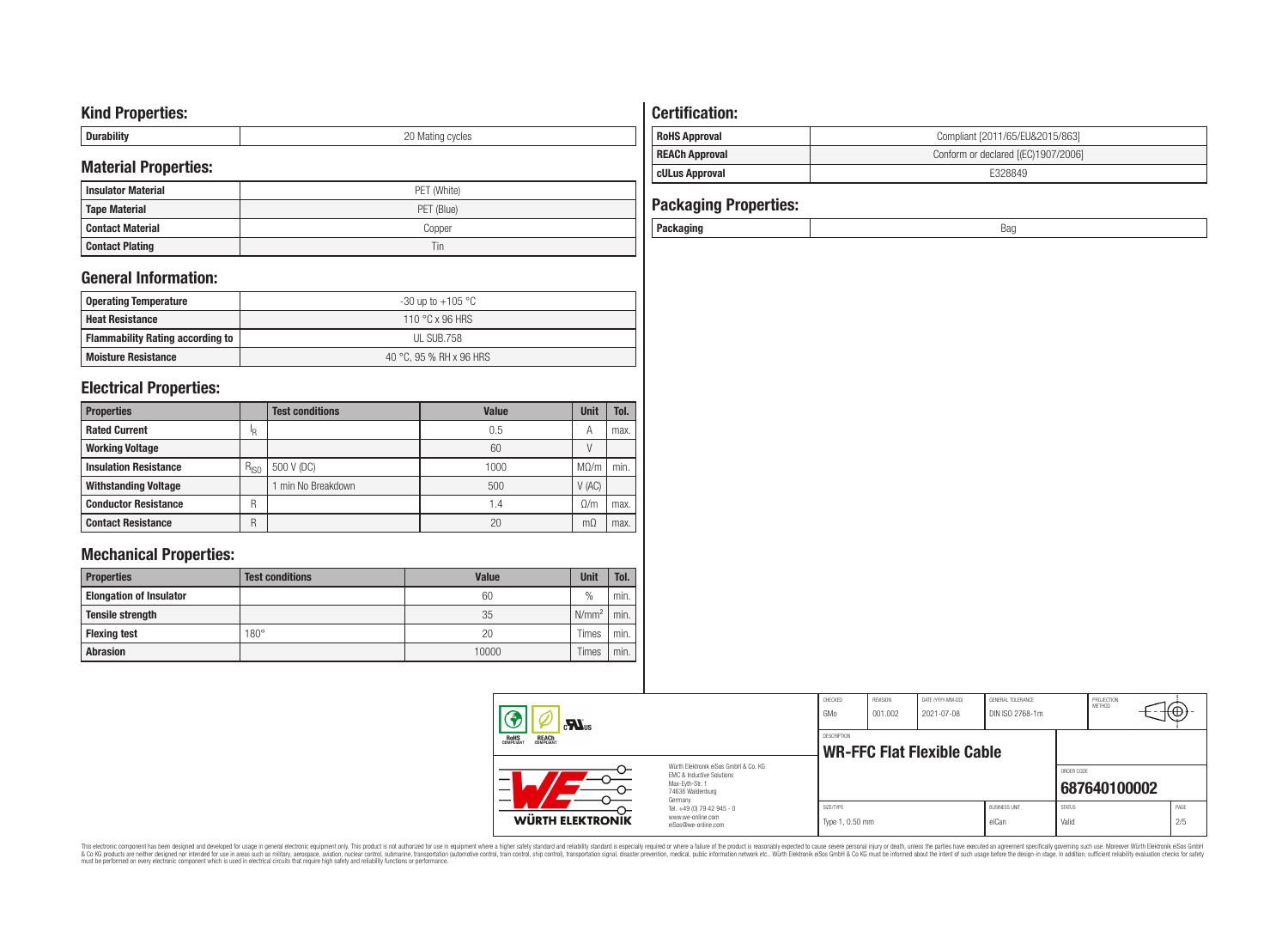# **Kind Properties:**

| <b>Duruping</b> | ററ<br>20 Mating cycles |
|-----------------|------------------------|

# **Material Properties:**

| <b>Insulator Material</b> | PET (White) |  |  |  |  |  |  |
|---------------------------|-------------|--|--|--|--|--|--|
| <b>Tape Material</b>      | PET (Blue)  |  |  |  |  |  |  |
| <b>Contact Material</b>   | Copper      |  |  |  |  |  |  |
| <b>Contact Plating</b>    | Tin         |  |  |  |  |  |  |

# **General Information:**

| Operating Temperature                   | -30 up to +105 $^{\circ}$ C |
|-----------------------------------------|-----------------------------|
| <b>Heat Resistance</b>                  | 110 °C x 96 HRS             |
| <b>Flammability Rating according to</b> | UL SUB.758                  |
| <b>Moisture Resistance</b>              | 40 °C, 95 % RH x 96 HRS     |

# **Electrical Properties:**

| <b>Properties</b>            |           | <b>Test conditions</b> | Value | <b>Unit</b> | Tol. |
|------------------------------|-----------|------------------------|-------|-------------|------|
| <b>Rated Current</b>         | 'R        |                        | 0.5   | А           | max. |
| <b>Working Voltage</b>       |           |                        | 60    |             |      |
| <b>Insulation Resistance</b> | $R_{ISO}$ | 500 V (DC)             | 1000  | $M\Omega/m$ | min. |
| <b>Withstanding Voltage</b>  |           | min No Breakdown       | 500   | V(AC)       |      |
| <b>Conductor Resistance</b>  | R         |                        | 1.4   | $\Omega/m$  | max. |
| <b>Contact Resistance</b>    | R         |                        | 20    | mΩ          | max. |

# **Mechanical Properties:**

| <b>Properties</b>              | <b>Test conditions</b> | Value | <b>Unit</b>       | Tol. |
|--------------------------------|------------------------|-------|-------------------|------|
| <b>Elongation of Insulator</b> |                        | 60    | $\frac{0}{0}$     | min. |
| <b>Tensile strength</b>        |                        | 35    | N/mm <sup>2</sup> | min. |
| <b>Flexing test</b>            | $180^\circ$            | 20    | Times             | min. |
| <b>Abrasion</b>                |                        | 10000 | Times             | min. |

# **Certification: RoHS Approval RoHS Approval Compliant** [2011/65/EU&2015/863]

# **REACh Approval REACh Approval Conform or declared [(EC)1907/2006] cULus Approval E328849**

| <b>Packaging Properties:</b> |     |
|------------------------------|-----|
| Packaging                    | Bag |

| $\mathbf{M}_{\text{us}}$<br>ROHS<br>COMPLIANT<br><b>REACH</b><br>COMPLIANT |                                                                                                          | CHECKED<br>GMo               | REVISION<br>001.002        | DATE (YYYY-MM-DD)<br>2021-07-08 | GENERAL TOLERANCE<br>DIN ISO 2768-1m |                        | PROJECTION<br>METHOD | πΨ          |
|----------------------------------------------------------------------------|----------------------------------------------------------------------------------------------------------|------------------------------|----------------------------|---------------------------------|--------------------------------------|------------------------|----------------------|-------------|
|                                                                            |                                                                                                          | DESCRIPTION                  | WR-FFC Flat Flexible Cable |                                 |                                      |                        |                      |             |
| –<br>--                                                                    | Würth Elektronik eiSos GmbH & Co. KG<br>EMC & Inductive Solutions<br>Max-Evth-Str. 1<br>74638 Waldenburg |                              |                            |                                 |                                      | ORDER CODE             | 687640100002         |             |
| WÜRTH ELEKTRONIK                                                           | Germany<br>Tel. +49 (0) 79 42 945 - 0<br>www.we-online.com<br>eiSos@we-online.com                        | SIZE/TYPE<br>Type 1, 0.50 mm |                            |                                 | <b>BUSINESS UNIT</b><br>eiCan        | <b>STATUS</b><br>Valid |                      | PAGE<br>2/5 |

This electronic component has been designed and developed for usage in general electronic equipment only. This product is not authorized for subserved requipment where a higher selection equipment where a higher selection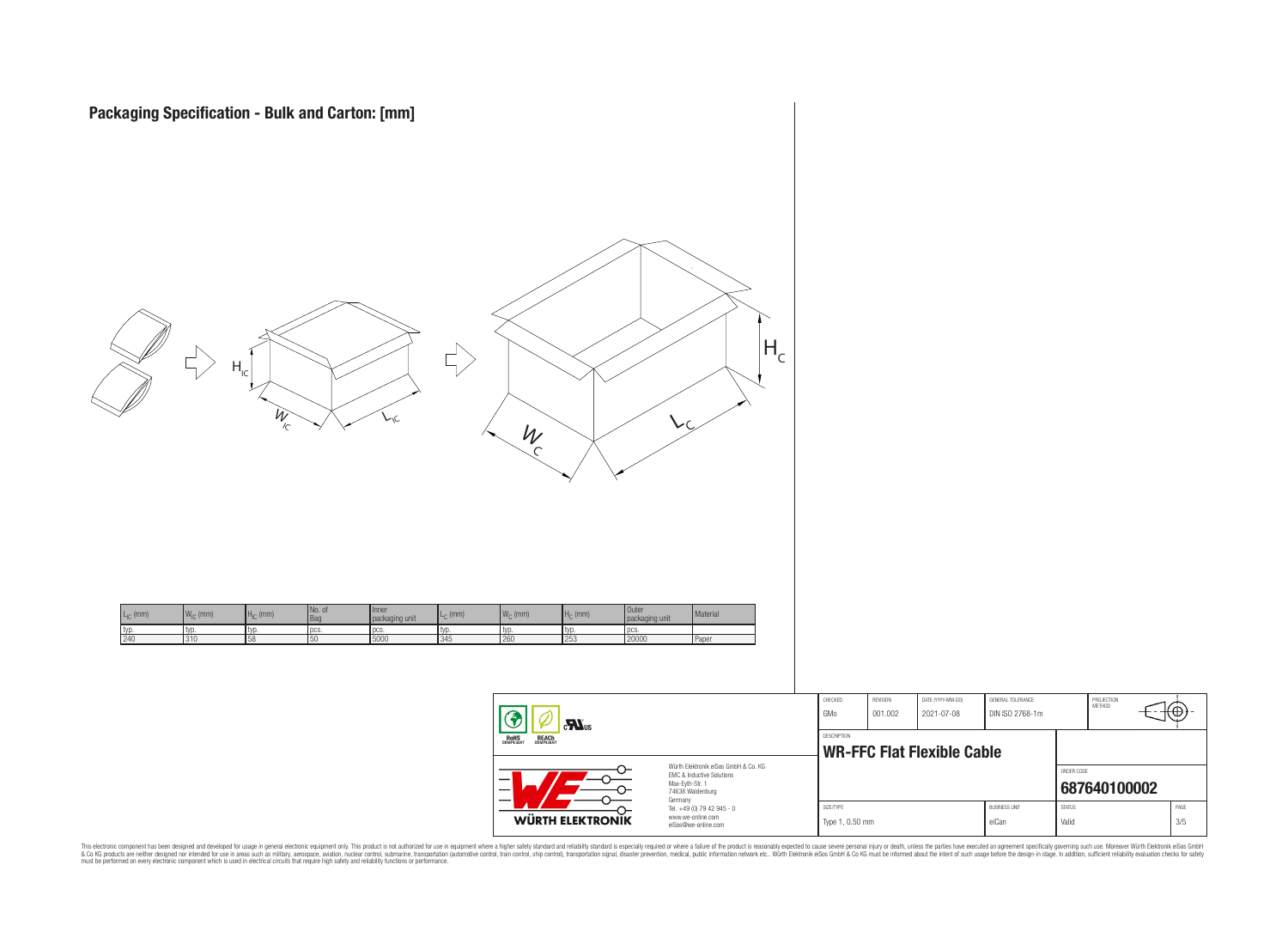

| <b>WÜRTH ELEKTRONIK</b>                  | Germany<br>Tel. +49 (0) 79 42 945 - 0<br>www.we-online.com<br>eiSos@we-online.com | SIZE/TYPE<br>Type 1, 0.50 mm |                            |                                   | <b>BUSINESS UNIT</b><br>eiCan               | <b>STATUS</b><br>Valid |                      | PAGE<br>3/5 |  |
|------------------------------------------|-----------------------------------------------------------------------------------|------------------------------|----------------------------|-----------------------------------|---------------------------------------------|------------------------|----------------------|-------------|--|
|                                          |                                                                                   |                              |                            |                                   | ORDER CODE                                  | 687640100002           |                      |             |  |
| HS<br>Liant<br><b>REACH</b><br>COMPLIANT |                                                                                   | <b>DESCRIPTION</b>           |                            | <b>WR-FFC Flat Flexible Cable</b> |                                             |                        |                      |             |  |
| $\mathbf{r}$                             |                                                                                   | CHECKED<br>GMo               | <b>REVISION</b><br>001.002 | DATE (YYYY-MM-DD)<br>2021-07-08   | <b>GENERAL TOLERANCE</b><br>DIN ISO 2768-1m |                        | PROJECTION<br>METHOD | (⊕          |  |

This electronic component has been designed and developed for usage in general electronic equipment only. This product is not authorized for subserved requipment where a higher selection equipment where a higher selection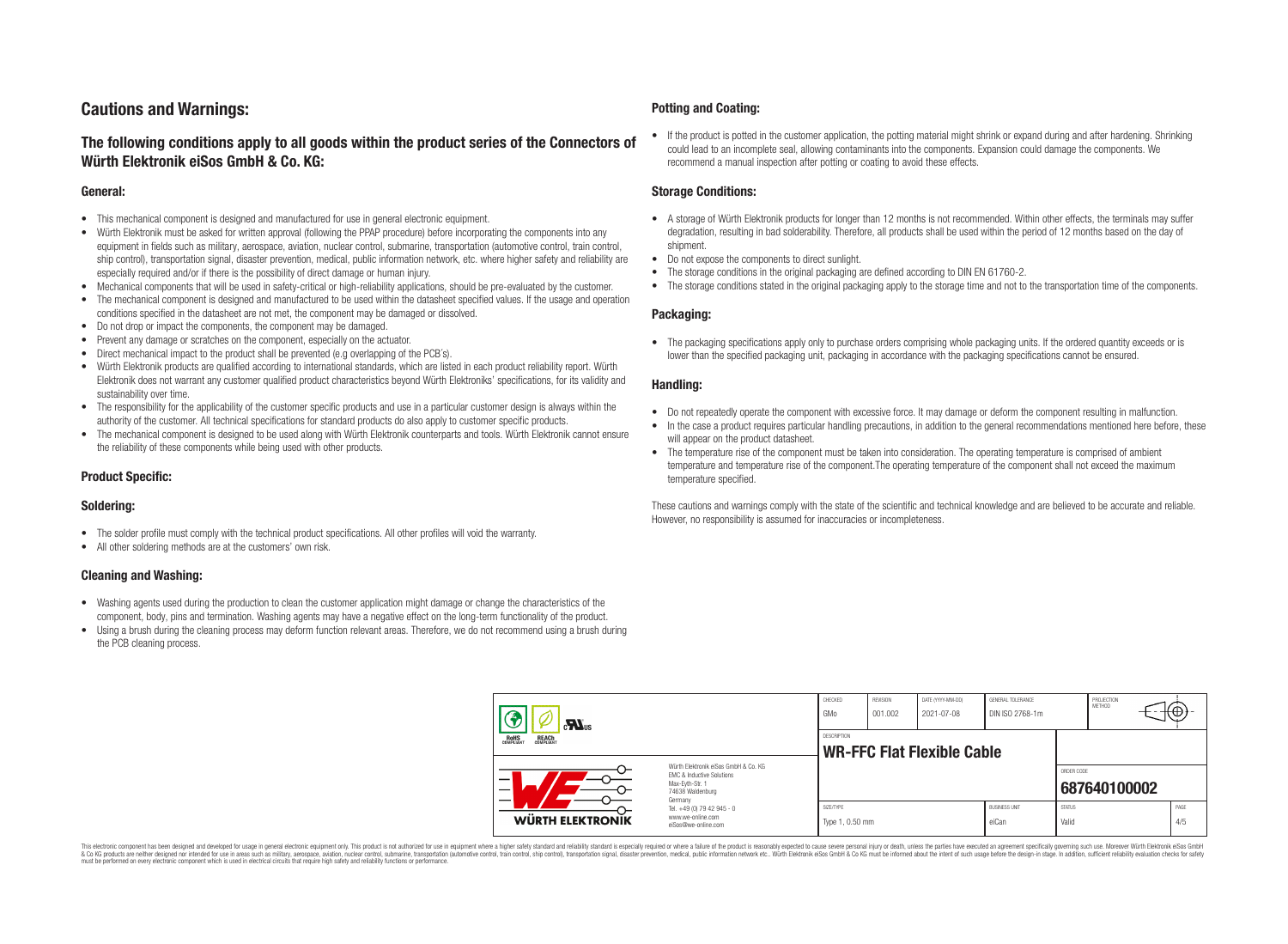# **Cautions and Warnings:**

## **The following conditions apply to all goods within the product series of the Connectors of Würth Elektronik eiSos GmbH & Co. KG:**

#### **General:**

- This mechanical component is designed and manufactured for use in general electronic equipment.
- Würth Elektronik must be asked for written approval (following the PPAP procedure) before incorporating the components into any equipment in fields such as military, aerospace, aviation, nuclear control, submarine, transportation (automotive control, train control, ship control), transportation signal, disaster prevention, medical, public information network, etc. where higher safety and reliability are especially required and/or if there is the possibility of direct damage or human injury.
- Mechanical components that will be used in safety-critical or high-reliability applications, should be pre-evaluated by the customer.
- The mechanical component is designed and manufactured to be used within the datasheet specified values. If the usage and operation conditions specified in the datasheet are not met, the component may be damaged or dissolved.
- Do not drop or impact the components, the component may be damaged.
- Prevent any damage or scratches on the component, especially on the actuator.
- Direct mechanical impact to the product shall be prevented (e.g overlapping of the PCB's).
- Würth Elektronik products are qualified according to international standards, which are listed in each product reliability report. Würth Elektronik does not warrant any customer qualified product characteristics beyond Würth Elektroniks' specifications, for its validity and sustainability over time.
- The responsibility for the applicability of the customer specific products and use in a particular customer design is always within the authority of the customer. All technical specifications for standard products do also apply to customer specific products.
- The mechanical component is designed to be used along with Würth Elektronik counterparts and tools. Würth Elektronik cannot ensure the reliability of these components while being used with other products.

#### **Product Specific:**

#### **Soldering:**

- The solder profile must comply with the technical product specifications. All other profiles will void the warranty.
- All other soldering methods are at the customers' own risk.

#### **Cleaning and Washing:**

- Washing agents used during the production to clean the customer application might damage or change the characteristics of the component, body, pins and termination. Washing agents may have a negative effect on the long-term functionality of the product.
- Using a brush during the cleaning process may deform function relevant areas. Therefore, we do not recommend using a brush during the PCB cleaning process.

#### **Potting and Coating:**

• If the product is potted in the customer application, the potting material might shrink or expand during and after hardening. Shrinking could lead to an incomplete seal, allowing contaminants into the components. Expansion could damage the components. We recommend a manual inspection after potting or coating to avoid these effects.

#### **Storage Conditions:**

- A storage of Würth Elektronik products for longer than 12 months is not recommended. Within other effects, the terminals may suffer degradation, resulting in bad solderability. Therefore, all products shall be used within the period of 12 months based on the day of shipment.
- Do not expose the components to direct sunlight.
- The storage conditions in the original packaging are defined according to DIN EN 61760-2.
- The storage conditions stated in the original packaging apply to the storage time and not to the transportation time of the components.

#### **Packaging:**

• The packaging specifications apply only to purchase orders comprising whole packaging units. If the ordered quantity exceeds or is lower than the specified packaging unit, packaging in accordance with the packaging specifications cannot be ensured.

#### **Handling:**

- Do not repeatedly operate the component with excessive force. It may damage or deform the component resulting in malfunction.
- In the case a product requires particular handling precautions, in addition to the general recommendations mentioned here before, these will appear on the product datasheet
- The temperature rise of the component must be taken into consideration. The operating temperature is comprised of ambient temperature and temperature rise of the component.The operating temperature of the component shall not exceed the maximum temperature specified.

These cautions and warnings comply with the state of the scientific and technical knowledge and are believed to be accurate and reliable. However, no responsibility is assumed for inaccuracies or incompleteness.

| $\mathbf{r}$<br>ROHS<br>COMPLIANT<br><b>REACH</b><br>COMPLIANT<br>Würth Elektronik eiSos GmbH & Co. KG<br>EMC & Inductive Solutions<br>–<br>Max-Eyth-Str. 1<br>74638 Waldenburg |                                                                                   | CHECKED<br>GMo                                          | <b>REVISION</b><br>001.002 | DATE (YYYY-MM-DD)<br>2021-07-08 | GENERAL TOLERANCE<br>DIN ISO 2768-1m |                        | PROJECTION<br>METHOD | ₩           |
|---------------------------------------------------------------------------------------------------------------------------------------------------------------------------------|-----------------------------------------------------------------------------------|---------------------------------------------------------|----------------------------|---------------------------------|--------------------------------------|------------------------|----------------------|-------------|
|                                                                                                                                                                                 |                                                                                   | <b>DESCRIPTION</b><br><b>WR-FFC Flat Flexible Cable</b> |                            |                                 |                                      |                        |                      |             |
|                                                                                                                                                                                 |                                                                                   |                                                         |                            |                                 |                                      | ORDER CODE             | 687640100002         |             |
| WÜRTH ELEKTRONIK                                                                                                                                                                | Germany<br>Tel. +49 (0) 79 42 945 - 0<br>www.we-online.com<br>eiSos@we-online.com | SIZE/TYPE<br>Type 1, 0.50 mm                            |                            |                                 | <b>BUSINESS UNIT</b><br>eiCan        | <b>STATUS</b><br>Valid |                      | PAGE<br>4/5 |

This electronic component has been designed and developed for usage in general electronic equipment only. This product is not authorized for use in equipment where a higher safety standard and reliability standard si espec & Ook product a label and the membed of the seasuch as marked and as which such a membed and the such assume that income in the seasuch and the simulation and the such assume that include to the such a membed and the such